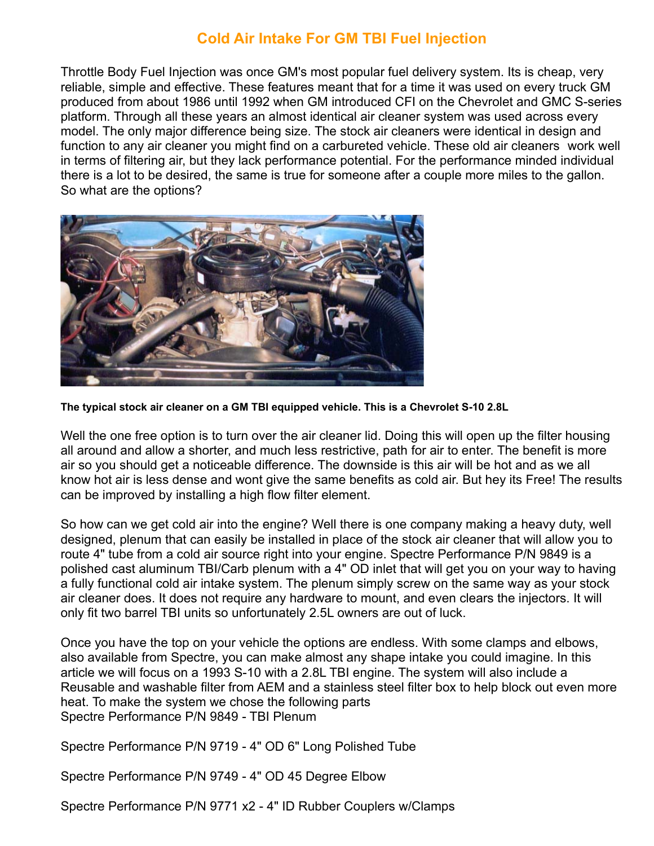## **Cold Air Intake For GM TBI Fuel Injection**

Throttle Body Fuel Injection was once GM's most popular fuel delivery system. Its is cheap, very reliable, simple and effective. These features meant that for a time it was used on every truck GM produced from about 1986 until 1992 when GM introduced CFI on the Chevrolet and GMC S-series platform. Through all these years an almost identical air cleaner system was used across every model. The only major difference being size. The stock air cleaners were identical in design and function to any air cleaner you might find on a carbureted vehicle. These old air cleaners work well in terms of filtering air, but they lack performance potential. For the performance minded individual there is a lot to be desired, the same is true for someone after a couple more miles to the gallon. So what are the options?



**The typical stock air cleaner on a GM TBI equipped vehicle. This is a Chevrolet S-10 2.8L**

Well the one free option is to turn over the air cleaner lid. Doing this will open up the filter housing all around and allow a shorter, and much less restrictive, path for air to enter. The benefit is more air so you should get a noticeable difference. The downside is this air will be hot and as we all know hot air is less dense and wont give the same benefits as cold air. But hey its Free! The results can be improved by installing a high flow filter element.

So how can we get cold air into the engine? Well there is one company making a heavy duty, well designed, plenum that can easily be installed in place of the stock air cleaner that will allow you to route 4" tube from a cold air source right into your engine. Spectre Performance P/N 9849 is a polished cast aluminum TBI/Carb plenum with a 4" OD inlet that will get you on your way to having a fully functional cold air intake system. The plenum simply screw on the same way as your stock air cleaner does. It does not require any hardware to mount, and even clears the injectors. It will only fit two barrel TBI units so unfortunately 2.5L owners are out of luck.

Once you have the top on your vehicle the options are endless. With some clamps and elbows, also available from Spectre, you can make almost any shape intake you could imagine. In this article we will focus on a 1993 S-10 with a 2.8L TBI engine. The system will also include a Reusable and washable filter from AEM and a stainless steel filter box to help block out even more heat. To make the system we chose the following parts Spectre Performance P/N 9849 - TBI Plenum

Spectre Performance P/N 9719 - 4" OD 6" Long Polished Tube

Spectre Performance P/N 9749 - 4" OD 45 Degree Elbow

Spectre Performance P/N 9771 x2 - 4" ID Rubber Couplers w/Clamps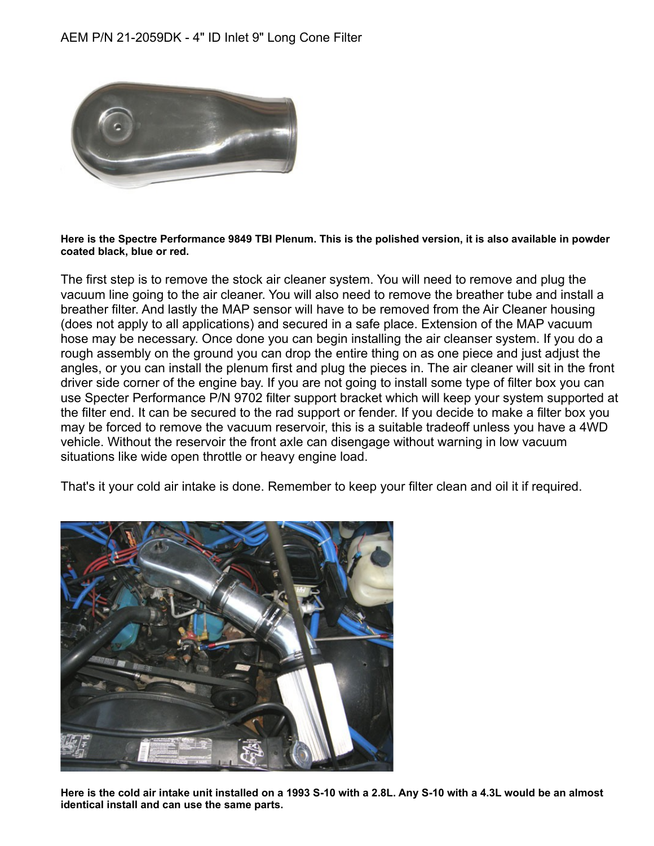

## **Here is the Spectre Performance 9849 TBI Plenum. This is the polished version, it is also available in powder coated black, blue or red.**

The first step is to remove the stock air cleaner system. You will need to remove and plug the vacuum line going to the air cleaner. You will also need to remove the breather tube and install a breather filter. And lastly the MAP sensor will have to be removed from the Air Cleaner housing (does not apply to all applications) and secured in a safe place. Extension of the MAP vacuum hose may be necessary. Once done you can begin installing the air cleanser system. If you do a rough assembly on the ground you can drop the entire thing on as one piece and just adjust the angles, or you can install the plenum first and plug the pieces in. The air cleaner will sit in the front driver side corner of the engine bay. If you are not going to install some type of filter box you can use Specter Performance P/N 9702 filter support bracket which will keep your system supported at the filter end. It can be secured to the rad support or fender. If you decide to make a filter box you may be forced to remove the vacuum reservoir, this is a suitable tradeoff unless you have a 4WD vehicle. Without the reservoir the front axle can disengage without warning in low vacuum situations like wide open throttle or heavy engine load.

That's it your cold air intake is done. Remember to keep your filter clean and oil it if required.



**Here is the cold air intake unit installed on a 1993 S-10 with a 2.8L. Any S-10 with a 4.3L would be an almost identical install and can use the same parts.**